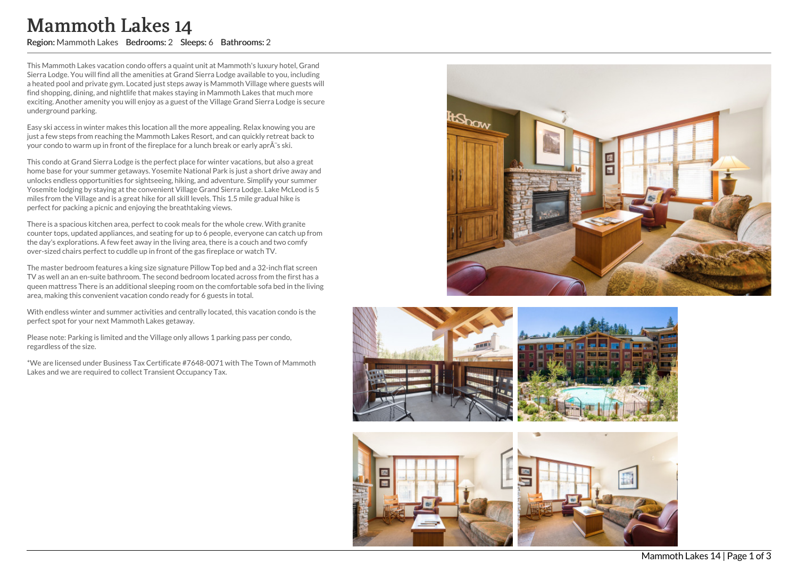## Mammoth Lakes 14

## Region: Mammoth Lakes Bedrooms: 2 Sleeps: 6 Bathrooms: 2

This Mammoth Lakes vacation condo offers a quaint unit at Mammoth's luxury hotel, Grand Sierra Lodge. You will find all the amenities at Grand Sierra Lodge available to you, including a heated pool and private gym. Located just steps away is Mammoth Village where guests will find shopping, dining, and nightlife that makes staying in Mammoth Lakes that much more exciting. Another amenity you will enjoy as a guest of the Village Grand Sierra Lodge is secure underground parking.

Easy ski access in winter makes this location all the more appealing. Relax knowing you are just a few steps from reaching the Mammoth Lakes Resort, and can quickly retreat back to your condo to warm up in front of the fireplace for a lunch break or early aprÂ"s ski.

This condo at Grand Sierra Lodge is the perfect place for winter vacations, but also a great home base for your summer getaways. Yosemite National Park is just a short drive away and unlocks endless opportunities for sightseeing, hiking, and adventure. Simplify your summer Yosemite lodging by staying at the convenient Village Grand Sierra Lodge. Lake McLeod is 5 miles from the Village and is a great hike for all skill levels. This 1.5 mile gradual hike is perfect for packing a picnic and enjoying the breathtaking views.

There is a spacious kitchen area, perfect to cook meals for the whole crew. With granite counter tops, updated appliances, and seating for up to 6 people, everyone can catch up from the day's explorations. A few feet away in the living area, there is a couch and two comfy over-sized chairs perfect to cuddle up in front of the gas fireplace or watch TV.

The master bedroom features a king size signature Pillow Top bed and a 32-inch flat screen TV as well an an en-suite bathroom. The second bedroom located across from the first has a queen mattress There is an additional sleeping room on the comfortable sofa bed in the living area, making this convenient vacation condo ready for 6 guests in total.

With endless winter and summer activities and centrally located, this vacation condo is the perfect spot for your next Mammoth Lakes getaway.

Please note: Parking is limited and the Village only allows 1 parking pass per condo, regardless of the size.

\*We are licensed under Business Tax Certificate #7648-0071 with The Town of Mammoth Lakes and we are required to collect Transient Occupancy Tax.





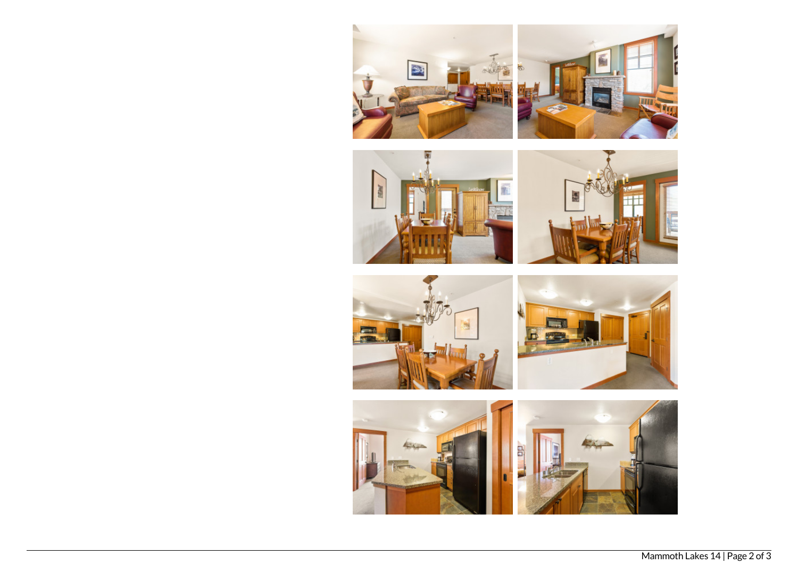





 $\overline{a}$